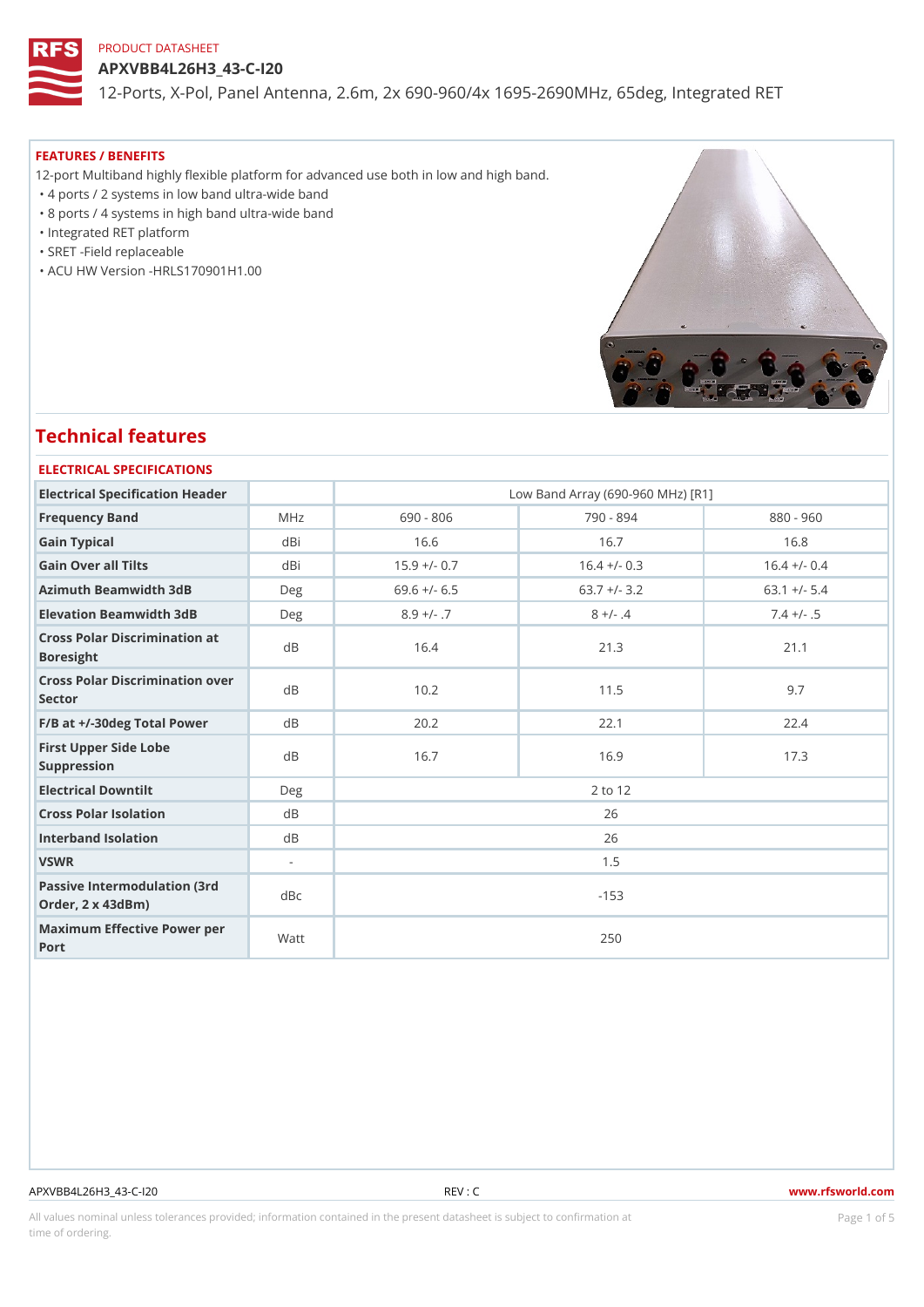APXVBB4L26H3\_43-C-I20

12-Ports, X-Pol, Panel Antenna, 2.6m, 2x 690-960/4x 1695-2690MHz, 6

#### FEATURES / BENEFITS

12-port Multiband highly flexible platform for advanced use both in low and high band.

"4 ports / 2 systems in low band ultra-wide band

"8 ports / 4 systems in high band ultra-wide band

"Integrated RET platform

"SRET -Field replaceable

"ACU HW Version -HRLS170901H1.00

# Technical features

| ELECTRICAL SPECIFICATIONS                                         |                |                |                                   |                |  |  |  |
|-------------------------------------------------------------------|----------------|----------------|-----------------------------------|----------------|--|--|--|
| Electrical Specification Header                                   |                |                | Low Band Array (690-960 MHz) [R1] |                |  |  |  |
| Frequency Band                                                    | MHz            | $690 - 806$    | 790 - 894                         | $880 - 960$    |  |  |  |
| Gain Typical                                                      | dBi            | 16.6           | 16.7                              | 16.8           |  |  |  |
| Gain Over all Tilts                                               | dBi            | $15.9 +/- 0.7$ | $16.4 +/- 0.3$                    | $16.4 +/- 0.4$ |  |  |  |
| Azimuth Beamwidth 3dB                                             | Deg            | $69.6$ +/- 6.5 | $63.7 +/- 3.2$                    | $63.1 +/- 5.4$ |  |  |  |
| Elevation Beamwidth 3dB                                           | Deg            | $8.9 +/- .7$   | $8 +/- .4$                        | $7.4 +/- .5$   |  |  |  |
| Cross Polar Discrimination at<br><b>Boresight</b>                 |                | 16.4           | 21.3                              | 21.1           |  |  |  |
| Cross Polar Discrimination over<br>Sector                         |                | 10.2           | 11.5                              | 9.7            |  |  |  |
| $F/B$ at $+/-30$ deg Total Powerd B                               |                | 20.2           | 22.1                              | 22.4           |  |  |  |
| First Upper Side Lobe<br>Suppression                              | d <sub>B</sub> | 16.7           | 16.9                              | 17.3           |  |  |  |
| Electrical Downtilt                                               | Deg            |                | 2 to 12                           |                |  |  |  |
| Cross Polar Isolation                                             | d B            | 26             |                                   |                |  |  |  |
| Interband Isolation                                               | d B            | 26             |                                   |                |  |  |  |
| VSWR                                                              | $\sim$         | 1.5            |                                   |                |  |  |  |
| Passive Intermodulation (3rd dBc<br>Order, $2 \times 43$ d $B$ m) |                | $-153$         |                                   |                |  |  |  |
| Maximum Effective Power per<br>Port                               |                |                | 250                               |                |  |  |  |

#### APXVBB4L26H3\_43-C-I20 REV : C www.rfsworld.com

All values nominal unless tolerances provided; information contained in the present datasheet is subject to PcaogneionIm Sstid time of ordering.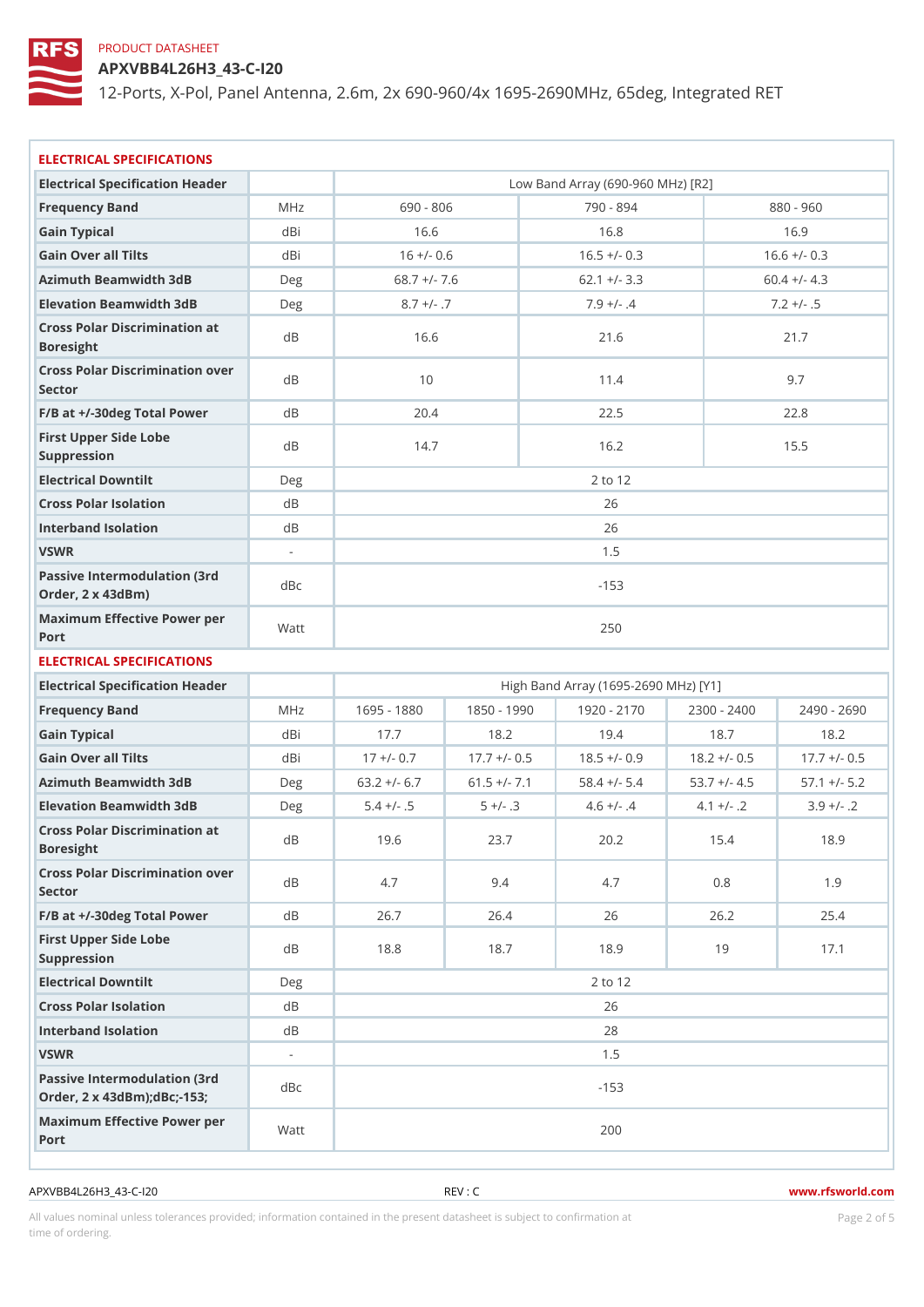APXVBB4L26H3\_43-C-I20

12-Ports, X-Pol, Panel Antenna, 2.6m, 2x 690-960/4x 1695-2690MHz, 6

| ELECTRICAL SPECIFICATIONS                                           |                |              |                |                |                                      |                                                                    |
|---------------------------------------------------------------------|----------------|--------------|----------------|----------------|--------------------------------------|--------------------------------------------------------------------|
| Electrical Specification Header                                     |                |              |                |                | Low Band Array (690-960 MHz) [R2]    |                                                                    |
| Frequency Band                                                      | M H z          | 690 - 806    |                | 790 - 894      |                                      | 880 - 960                                                          |
| Gain Typical                                                        | dBi            | 16.6         |                | 16.8           |                                      | 16.9                                                               |
| Gain Over all Tilts                                                 | dBi            | $16 +/- 0.6$ |                | $16.5 +/- 0.3$ |                                      | $16.6 +/- 0.3$                                                     |
| Azimuth Beamwidth 3dB                                               | Deg            |              | $68.7 +/- 7.6$ | $62.1 +/- 3.3$ |                                      | $60.4$ +/- 4.3                                                     |
| Elevation Beamwidth 3dB                                             | Deg            |              | $8.7 +/- .7$   | $7.9 +/- .4$   |                                      | $7.2 +/- .5$                                                       |
| Cross Polar Discrimination at<br><b>Boresight</b>                   |                | 16.6         |                | 21.6           |                                      | 21.7                                                               |
| Cross Polar Discrimination over<br>Sector                           |                | 10           |                | 11.4           |                                      | 9.7                                                                |
| $F/B$ at $+/-30$ deg Total Powerd B                                 |                | 20.4         |                | 22.5           |                                      | 22.8                                                               |
| First Upper Side Lobe<br>Suppression                                | d B            | 14.7         |                | 16.2           |                                      | 15.5                                                               |
| Electrical Downtilt                                                 | Deg            |              |                | 2 to 12        |                                      |                                                                    |
| Cross Polar Isolation                                               | d B            |              |                | 26             |                                      |                                                                    |
| Interband Isolation                                                 | d B            |              |                | 26             |                                      |                                                                    |
| VSWR                                                                | $\sim$         |              |                | 1.5            |                                      |                                                                    |
| Passive Intermodulation (3rd dBc<br>Order, 2 x 43dBm)               |                |              |                | $-153$         |                                      |                                                                    |
| Maximum Effective Power per<br>Port                                 |                |              |                | 250            |                                      |                                                                    |
| ELECTRICAL SPECIFICATIONS                                           |                |              |                |                |                                      |                                                                    |
| Electrical Specification Header                                     |                |              |                |                | High Band Array (1695-2690 MHz) [Y1] |                                                                    |
| Frequency Band                                                      | M H z          |              |                |                |                                      | 1695 - 1830 1850 - 1990 1920 - 2170 2300 - 2400 2490 - 2690        |
| Gain Typical                                                        | dBi            | 17.7         | 18.2           | 19.4           | 18.7                                 | 18.2                                                               |
| Gain Over all Tilts                                                 | dBi            | $17 + (-0.7$ |                |                |                                      | $17.7$ +/- 0.5 18.5 +/- 0.9 18.2 +/- 0.5 17.7 +/- 0.5              |
| Azimuth Beamwidth 3dB                                               | Deg            |              |                |                |                                      | $63.2 +/- 6.7 61.5 +/- 7.1 58.4 +/- 5.4 53.7 +/- 4.5 57.1 +/- 5.2$ |
| Elevation Beamwidth 3dB                                             | Deg            | $5.4 +/- .5$ | $5 +/- .3$     | $4.6 +/- .4$   | $4.1 +/-$ . 2                        | $3.9 +/- .2$                                                       |
| Cross Polar Discrimination at<br><b>Boresight</b>                   |                | 19.6         | 23.7           |                | $20.2$ 15.4                          | 18.9                                                               |
| Cross Polar Discrimination over<br>Sector                           |                | 4.7          | 9.4            | 4.7            | 0.8                                  | 1.9                                                                |
| F/B at +/-30deg Total PowerdB                                       |                | 26.7         | 26.4           | 26             | 26.2                                 | 25.4                                                               |
| First Upper Side Lobe<br>Suppression                                | d B            | 18.8         | 18.7           | 18.9           | 19                                   | 17.1                                                               |
| Electrical Downtilt                                                 | Deg            |              |                | 2 to 12        |                                      |                                                                    |
| Cross Polar Isolation                                               | d B            |              |                | 26             |                                      |                                                                    |
| Interband Isolation                                                 | d B            |              |                | 28             |                                      |                                                                    |
| VSWR                                                                | $\blacksquare$ |              |                | $1.5$          |                                      |                                                                    |
| Passive Intermodulation (3rd dBc)<br>Order, 2 x 43dBm); dBc; - 153; |                |              |                | $-153$         |                                      |                                                                    |
| Maximum Effective Power per<br>Port                                 |                |              |                | 200            |                                      |                                                                    |

APXVBB4L26H3\_43-C-I20 REV : C www.rfsworld.com

All values nominal unless tolerances provided; information contained in the present datasheet is subject to Pcaognéio 21 matio time of ordering.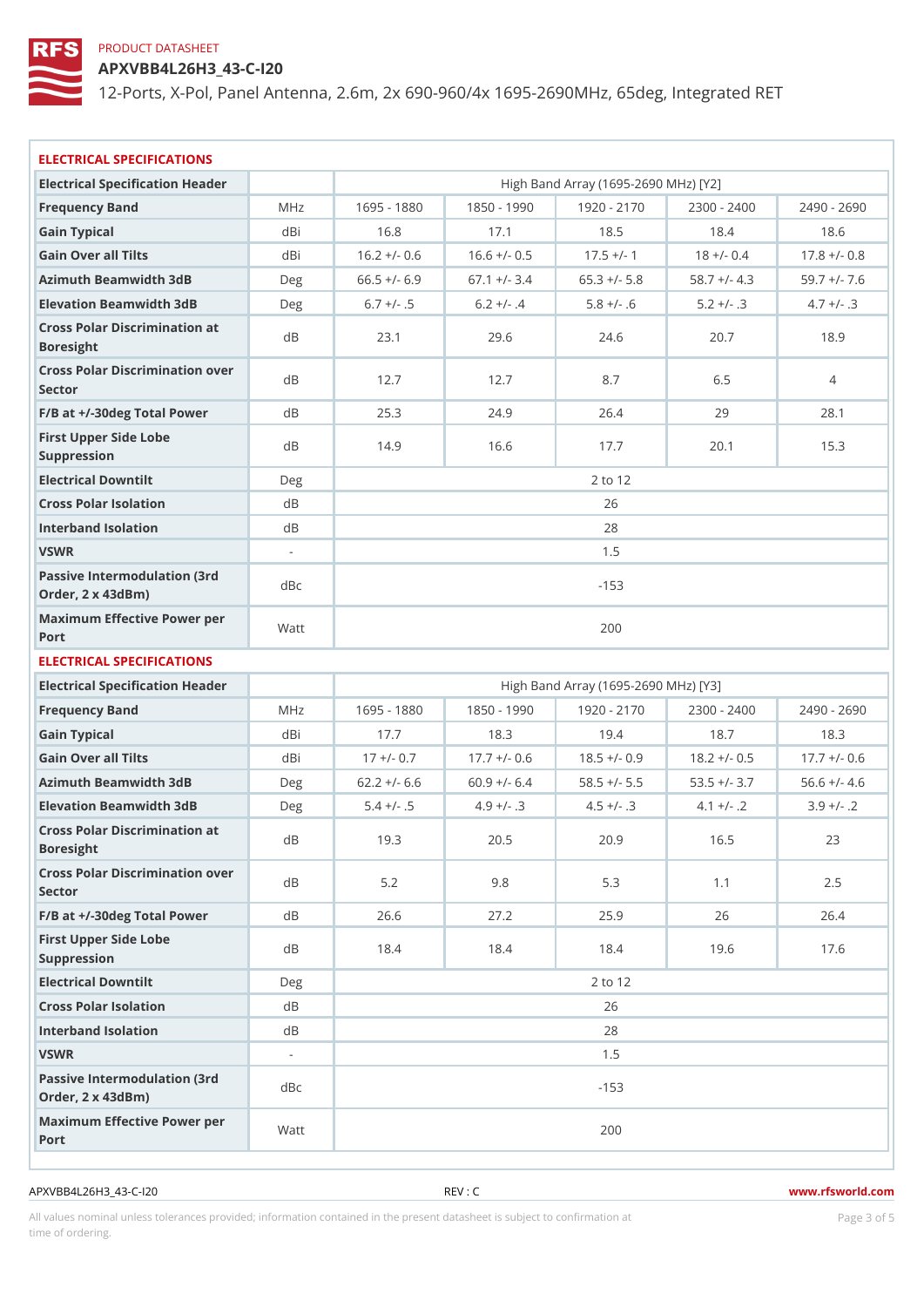APXVBB4L26H3\_43-C-I20

12-Ports, X-Pol, Panel Antenna, 2.6m, 2x 690-960/4x 1695-2690MHz, 6

| ELECTRICAL SPECIFICATIONS                                |                          |              |                                        |                                      |               |                                                                    |
|----------------------------------------------------------|--------------------------|--------------|----------------------------------------|--------------------------------------|---------------|--------------------------------------------------------------------|
| Electrical Specification Header                          |                          |              |                                        | High Band Array (1695-2690 MHz) [Y2] |               |                                                                    |
| Frequency Band                                           | M H z                    |              |                                        |                                      |               | 1695 - 1830 1850 - 1990 1920 - 2170 2300 - 2400 2490 - 2690        |
| Gain Typical                                             | dBi                      | 16.8         | 17.1                                   | 18.5                                 | 18.4          | 18.6                                                               |
| Gain Over all Tilts                                      | dBi                      |              | $16.2 +/- 0.6 16.6 +/- 0.5 17.5 +/- 1$ |                                      | $18 +/- 0.4$  | $17.8$ +/- 0.8                                                     |
| Azimuth Beamwidth 3dB                                    | Deg                      |              |                                        |                                      |               | $66.5 +/-$ 6.9 67.1 +/- 3.4 65.3 +/- 5.8 58.7 +/- 4.3 59.7 +/- 7.6 |
| Elevation Beamwidth 3dB                                  | Deg                      | $6.7 +/- .5$ | $6.2 +/- .4$                           | $5.8 +/- .6$                         | $5.2 +/- .3$  | $4.7 + (-.3)$                                                      |
| Cross Polar Discrimination at<br>Boresight               |                          | 23.1         | 29.6                                   | 24.6                                 | 20.7          | 18.9                                                               |
| Cross Polar Discrimination over<br>Sector                |                          | 12.7         | 12.7                                   | 8.7                                  | 6.5           | $\overline{4}$                                                     |
| $F/B$ at $+/-30$ deg Total Powerd B                      |                          | 25.3         | 24.9                                   | 26.4                                 | 29            | 28.1                                                               |
| First Upper Side Lobe<br>Suppression                     | d B                      | 14.9         | 16.6                                   | 17.7                                 | 20.1          | 15.3                                                               |
| Electrical Downtilt                                      | Deg                      |              |                                        | 2 to 12                              |               |                                                                    |
| Cross Polar Isolation                                    | d B                      |              |                                        | 26                                   |               |                                                                    |
| Interband Isolation                                      | d B                      |              |                                        | 28                                   |               |                                                                    |
| VSWR                                                     | $\overline{\phantom{a}}$ |              |                                        | 1.5                                  |               |                                                                    |
| Passive Intermodulation (3rd dBc<br>Order, 2 x 43dBm)    |                          |              |                                        | $-153$                               |               |                                                                    |
| Maximum Effective Power per<br>Port                      |                          |              |                                        | 200                                  |               |                                                                    |
| ELECTRICAL SPECIFICATIONS                                |                          |              |                                        |                                      |               |                                                                    |
| Electrical Specification Header                          |                          |              |                                        | High Band Array (1695-2690 MHz) [Y3] |               |                                                                    |
| Frequency Band                                           | M H z                    |              |                                        |                                      |               | 1695 - 1830 1850 - 1930 1920 - 2170 2300 - 2400 2490 - 2690        |
| Gain Typical                                             | dBi                      | 17.7         | 18.3                                   | 19.4                                 | 18.7          | 18.3                                                               |
| Gain Over all Tilts                                      | dBi                      | $17 + (-0.7$ |                                        |                                      |               | $17.7 +/- 0.6$ 18.5 +/- 0.9 18.2 +/- 0.5 17.7 +/- 0.6              |
| Azimuth Beamwidth 3dB                                    | Deg                      |              |                                        |                                      |               | $62.2 + (-6.6 60.9 + (-6.4 58.5 + (-5.5 53.5 + (-3.7 56.6 + (-4.6$ |
| Elevation Beamwidth 3dB                                  | Deg                      | $5.4 +/- .5$ | $4.9 +/- .3$                           | $4.5 +/- .3$                         | $4.1 +/-$ . 2 | $3.9 +/-$ . 2                                                      |
| Cross Polar Discrimination at<br>Boresight               | <b>QR</b>                | 19.3         | 20.5                                   | 20.9                                 | 16.5          | 23                                                                 |
| Cross Polar Discrimination over<br>Sector                |                          | $5.2$        | $9.8$                                  | 5.3                                  | 1.1           | $2.5$                                                              |
| F/B at +/-30deg Total PowerdB                            |                          | $2\,6$ . $6$ | 27.2                                   | 25.9                                 | 26            | 26.4                                                               |
| First Upper Side Lobe<br>Suppression                     | d B                      | 18.4         | 18.4                                   | 18.4                                 | 19.6          | 17.6                                                               |
| Electrical Downtilt                                      | Deg                      |              |                                        | 2 to 12                              |               |                                                                    |
| Cross Polar Isolation                                    | d B                      |              |                                        | 26                                   |               |                                                                    |
| Interband Isolation                                      | d B                      |              |                                        | 28                                   |               |                                                                    |
| VSWR                                                     | $\blacksquare$           |              |                                        | 1.5                                  |               |                                                                    |
| Passive Intermodulation (3rd<br>dBc<br>Order, 2 x 43dBm) |                          |              |                                        | $-153$                               |               |                                                                    |
| Maximum Effective Power per<br>Port                      |                          |              |                                        | 200                                  |               |                                                                    |

APXVBB4L26H3\_43-C-I20 REV : C www.rfsworld.com

All values nominal unless tolerances provided; information contained in the present datasheet is subject to Pcaognéioßh Ssti time of ordering.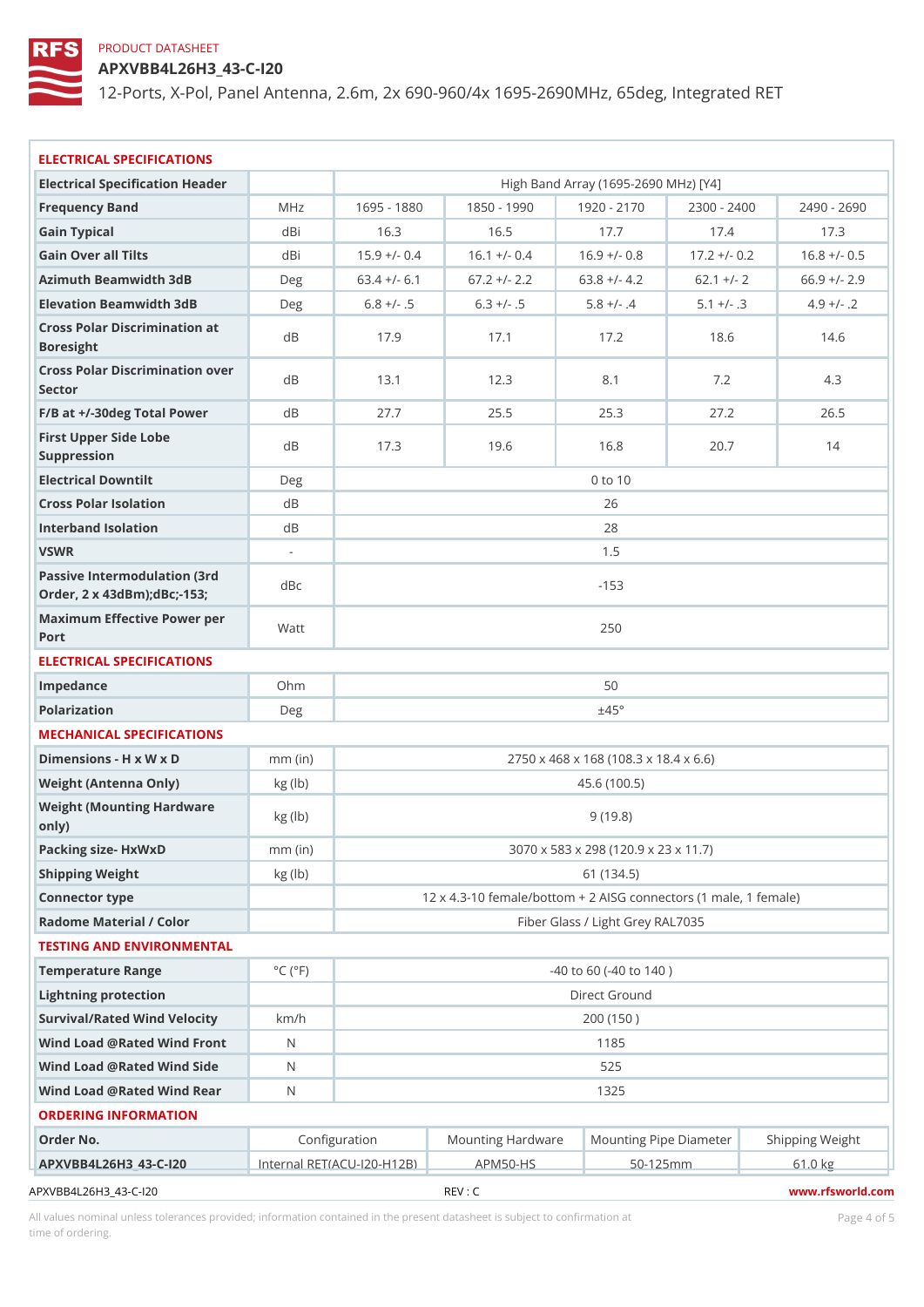APXVBB4L26H3\_43-C-I20

12-Ports, X-Pol, Panel Antenna, 2.6m, 2x 690-960/4x 1695-2690MHz, 6

| ELECTRICAL SPECIFICATIONS                                      |                             |               |                                                        |                                       |                |                                                                                |  |  |
|----------------------------------------------------------------|-----------------------------|---------------|--------------------------------------------------------|---------------------------------------|----------------|--------------------------------------------------------------------------------|--|--|
| Electrical Specification Header                                |                             |               |                                                        | High Band Array (1695-2690 MHz) [Y4]  |                |                                                                                |  |  |
| Frequency Band                                                 | M H z                       |               |                                                        |                                       |                | 1695 - 1880 1850 - 1990 1920 - 2170 2300 - 2400 2490 - 2690                    |  |  |
| Gain Typical                                                   | dBi                         | 16.3          | 16.5                                                   | 17.7                                  | 17.4           | 17.3                                                                           |  |  |
| Gain Over all Tilts                                            | dBi                         |               |                                                        |                                       |                | $15.9 +/- 0.4$ 16.1 + $/- 0.4$ 16.9 + $/- 0.8$ 17.2 + $/- 0.2$ 16.8 + $/- 0.5$ |  |  |
| Azimuth Beamwidth 3dB                                          | Deg                         |               | $63.4$ +/- 6.1 67.2 +/- 2.2 63.8 +/- 4.2 62.1 +/- 2    |                                       |                | $66.9$ +/- 2.9                                                                 |  |  |
| Elevation Beamwidth 3dB                                        | Deg                         | $6.8 +/- .5$  | $6.3 +/- .5$                                           | $5.8 +/- .4$                          | $5.1 +/- .3$   | $4.9 +/-$ . 2                                                                  |  |  |
| Cross Polar Discrimination at<br>Boresight                     |                             | 17.9          | 17.1                                                   | 17.2                                  | 18.6           | 14.6                                                                           |  |  |
| Cross Polar Discrimination over<br>Sector                      |                             | 13.1          | 12.3                                                   | 8.1                                   | 7.2            | 4.3                                                                            |  |  |
| $F/B$ at $+/-30$ deg Total Powerd B                            |                             | 27.7          | 25.5                                                   | 25.3                                  | 27.2           | 26.5                                                                           |  |  |
| First Upper Side Lobe<br>Suppression                           | d B                         | 17.3          | 19.6                                                   | 16.8                                  | 20.7           | 14                                                                             |  |  |
| Electrical Downtilt                                            | Deg                         |               |                                                        | $0$ to 10                             |                |                                                                                |  |  |
| Cross Polar Isolation                                          | d B                         |               | 26                                                     |                                       |                |                                                                                |  |  |
| Interband Isolation                                            | d B                         |               | 28                                                     |                                       |                |                                                                                |  |  |
| VSWR                                                           | $\sim$                      |               |                                                        | 1.5                                   |                |                                                                                |  |  |
| Passive Intermodulation (3rd<br>Order, 2 x 43dBm); dBc; - 153; | d B c                       |               | $-153$                                                 |                                       |                |                                                                                |  |  |
| Maximum Effective Power per<br>Port                            |                             |               | 250                                                    |                                       |                |                                                                                |  |  |
| ELECTRICAL SPECIFICATIONS                                      |                             |               |                                                        |                                       |                |                                                                                |  |  |
| Impedance                                                      | $Oh$ m                      |               | 50                                                     |                                       |                |                                                                                |  |  |
| Polarization                                                   | Deg                         |               | ±45°                                                   |                                       |                |                                                                                |  |  |
| MECHANICAL SPECIFICATIONS                                      |                             |               |                                                        |                                       |                |                                                                                |  |  |
| Dimensions - H x W x D                                         | $mm$ (in)                   |               |                                                        | 2750 x 468 x 168 (108.3 x 18.4 x 6.6) |                |                                                                                |  |  |
| Weight (Antenna Only)                                          | kg (lb)                     |               |                                                        | 45.6(100.5)                           |                |                                                                                |  |  |
| Weight (Mounting Hardware kg (Ib)<br>0nly)                     |                             |               |                                                        | 9(19.8)                               |                |                                                                                |  |  |
| Packing size- HxWxD                                            | $mm$ (in)                   |               | 3070 x 583 x 298 (120.9 x 23 x 11.7)                   |                                       |                |                                                                                |  |  |
| Shipping Weight                                                | kg (lb)                     |               | 61 (134.5)                                             |                                       |                |                                                                                |  |  |
| Connector type                                                 |                             |               | 12 x 4.3-10 female/bottom + 2 AISG connectors (1 male, |                                       |                |                                                                                |  |  |
| Radome Material / Color                                        |                             |               | Fiber Glass / Light Grey RAL7035                       |                                       |                |                                                                                |  |  |
| TESTING AND ENVIRONMENTAL                                      |                             |               |                                                        |                                       |                |                                                                                |  |  |
| Temperature Range                                              | $^{\circ}$ C ( $^{\circ}$ F |               |                                                        | $-40$ to 60 ( $-40$ to 140)           |                |                                                                                |  |  |
| Lightning protection                                           |                             |               | Direct Ground                                          |                                       |                |                                                                                |  |  |
| Survival/Rated Wind Velocikm/h                                 |                             |               |                                                        | 200 (150)                             |                |                                                                                |  |  |
| Wind Load @ Rated Wind FroNt                                   |                             |               |                                                        | 1185                                  |                |                                                                                |  |  |
| Wind Load @ Rated Wind Sidd                                    |                             |               |                                                        | 525                                   |                |                                                                                |  |  |
| Wind Load @ Rated Wind ReaN                                    |                             |               |                                                        | 1325                                  |                |                                                                                |  |  |
| ORDERING INFORMATION                                           |                             |               |                                                        |                                       |                |                                                                                |  |  |
| Order No.                                                      |                             | Configuration |                                                        |                                       |                | Mounting HardwaMeunting Pipe D am Stheimpping Weight                           |  |  |
| APXVBB4L26H3 43-C-I20Internal RET(ACU-20-H1A2PBM50-HS          |                             |               |                                                        |                                       | $50 - 125$ m m | 61.0 kg                                                                        |  |  |
| APXVBB4L26H3_43-C-120                                          |                             |               | REV : C                                                |                                       |                | www.rfsworld.cor                                                               |  |  |

All values nominal unless tolerances provided; information contained in the present datasheet is subject to Pcapgeins Antional time of ordering.